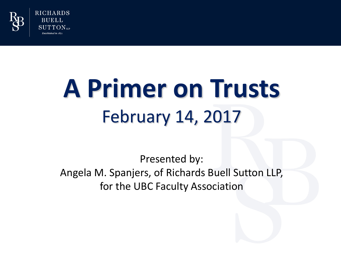

**RICHARDS BUELL** SUTTON...

# **A Primer on Trusts** February 14, 2017

Presented by: Angela M. Spanjers, of Richards Buell Sutton LLP, for the UBC Faculty Association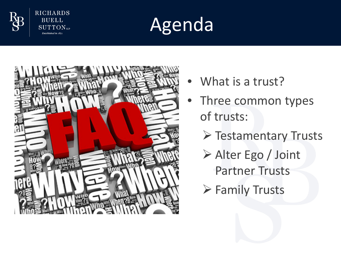

**RICHARDS BUELL SUTTON**LLP Established in 1871





- What is a trust?
- Three common types of trusts:
	- **▶ Testamentary Trusts**
	- Alter Ego / Joint Partner Trusts
	- Family Trusts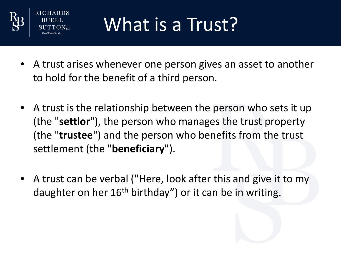

# What is a Trust?

- A trust arises whenever one person gives an asset to another to hold for the benefit of a third person.
- A trust is the relationship between the person who sets it up (the "**settlor**"), the person who manages the trust property (the "**trustee**") and the person who benefits from the trust settlement (the "**beneficiary**").
- A trust can be verbal ("Here, look after this and give it to my daughter on her 16<sup>th</sup> birthday") or it can be in writing.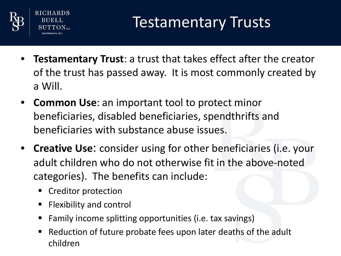



## Testamentary Trusts

- **Testamentary Trust**: a trust that takes effect after the creator of the trust has passed away. It is most commonly created by a Will.
- **Common Use**: an important tool to protect minor beneficiaries, disabled beneficiaries, spendthrifts and beneficiaries with substance abuse issues.
- **Creative Use**: consider using for other beneficiaries (i.e. your adult children who do not otherwise fit in the above-noted categories). The benefits can include:
	- **Creditor protection**
	- $\blacksquare$  Flexibility and control
	- Family income splitting opportunities (i.e. tax savings)
	- Reduction of future probate fees upon later deaths of the adult children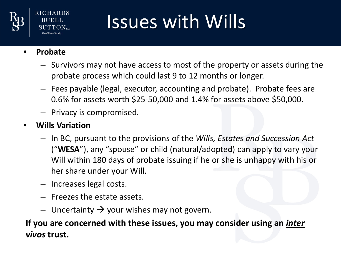

**RICHARDS** 

# Issues with Wills

- **Probate**
	- Survivors may not have access to most of the property or assets during the probate process which could last 9 to 12 months or longer.
	- Fees payable (legal, executor, accounting and probate). Probate fees are 0.6% for assets worth \$25-50,000 and 1.4% for assets above \$50,000.
	- Privacy is compromised.
- **Wills Variation**
	- In BC, pursuant to the provisions of the *Wills, Estates and Succession Act*  ("**WESA**"), any "spouse" or child (natural/adopted) can apply to vary your Will within 180 days of probate issuing if he or she is unhappy with his or her share under your Will.
	- Increases legal costs.
	- Freezes the estate assets.
	- $-$  Uncertainty  $\rightarrow$  your wishes may not govern.

**If you are concerned with these issues, you may consider using an** *inter vivos* **trust.**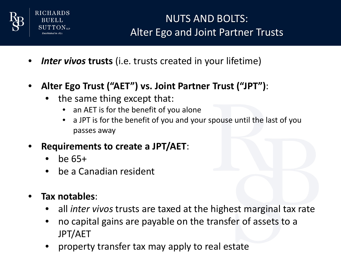

**RICHARDS** BUELI

### NUTS AND BOLTS: Alter Ego and Joint Partner Trusts

- *Inter vivos* **trusts** (i.e. trusts created in your lifetime)
- **Alter Ego Trust ("AET") vs. Joint Partner Trust ("JPT")**:
	- the same thing except that:
		- an AET is for the benefit of you alone
		- a JPT is for the benefit of you and your spouse until the last of you passes away
- **Requirements to create a JPT/AET**:
	- be 65+
	- be a Canadian resident
- **Tax notables**:
	- all *inter vivos* trusts are taxed at the highest marginal tax rate
	- no capital gains are payable on the transfer of assets to a JPT/AET
	- property transfer tax may apply to real estate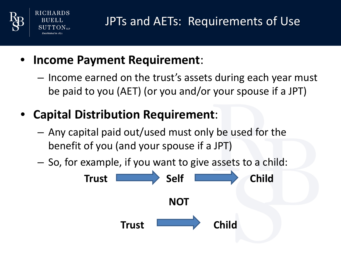

- **Income Payment Requirement**:
	- Income earned on the trust's assets during each year must be paid to you (AET) (or you and/or your spouse if a JPT)
- **Capital Distribution Requirement**:
	- Any capital paid out/used must only be used for the benefit of you (and your spouse if a JPT)
	- So, for example, if you want to give assets to a child:

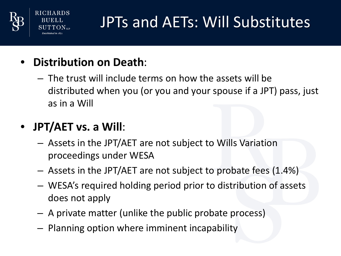

RICH

## JPTs and AETs: Will Substitutes

- **Distribution on Death**:
	- The trust will include terms on how the assets will be distributed when you (or you and your spouse if a JPT) pass, just as in a Will

### • **JPT/AET vs. a Will**:

- Assets in the JPT/AET are not subject to Wills Variation proceedings under WESA
- Assets in the JPT/AET are not subject to probate fees (1.4%)
- WESA's required holding period prior to distribution of assets does not apply
- A private matter (unlike the public probate process)
- Planning option where imminent incapability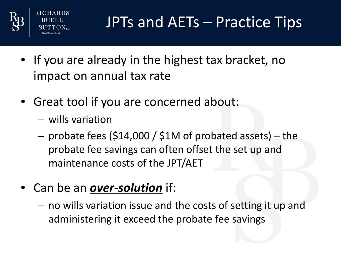

JPTs and AETs – Practice Tips

- If you are already in the highest tax bracket, no impact on annual tax rate
- Great tool if you are concerned about:
	- wills variation
	- $-$  probate fees (\$14,000 / \$1M of probated assets) the probate fee savings can often offset the set up and maintenance costs of the JPT/AET
- Can be an *over-solution* if:
	- no wills variation issue and the costs of setting it up and administering it exceed the probate fee savings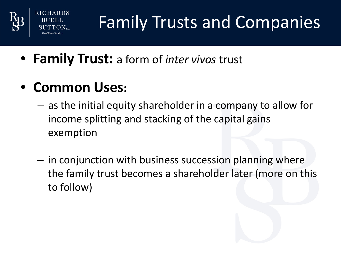

RICHARDS

## Family Trusts and Companies

- **Family Trust:** a form of *inter vivos* trust
- **Common Uses:** 
	- as the initial equity shareholder in a company to allow for income splitting and stacking of the capital gains exemption
	- in conjunction with business succession planning where the family trust becomes a shareholder later (more on this to follow)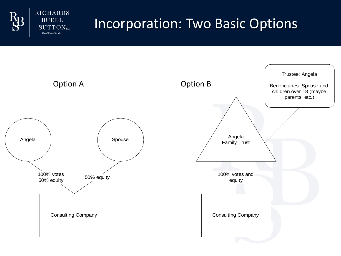

**RICHARDS BUELL SUTTON**LLP Established in 1871

## Incorporation: Two Basic Options

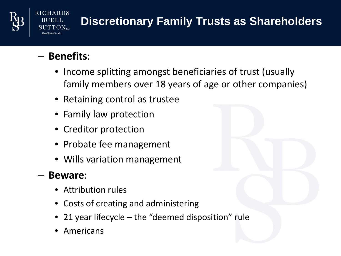

## **Discretionary Family Trusts as Shareholders**

### – **Benefits**:

**RICHARDS BUELL** 

- Income splitting amongst beneficiaries of trust (usually family members over 18 years of age or other companies)
- Retaining control as trustee
- Family law protection
- Creditor protection
- Probate fee management
- Wills variation management

#### – **Beware**:

- Attribution rules
- Costs of creating and administering
- 21 year lifecycle the "deemed disposition" rule
- **Americans**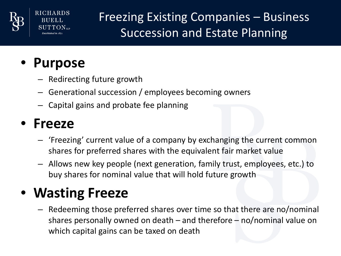

Freezing Existing Companies – Business Succession and Estate Planning

## • **Purpose**

RICHARDS

- Redirecting future growth
- Generational succession / employees becoming owners
- Capital gains and probate fee planning

### • **Freeze**

- 'Freezing' current value of a company by exchanging the current common shares for preferred shares with the equivalent fair market value
- Allows new key people (next generation, family trust, employees, etc.) to buy shares for nominal value that will hold future growth

## • **Wasting Freeze**

– Redeeming those preferred shares over time so that there are no/nominal shares personally owned on death – and therefore – no/nominal value on which capital gains can be taxed on death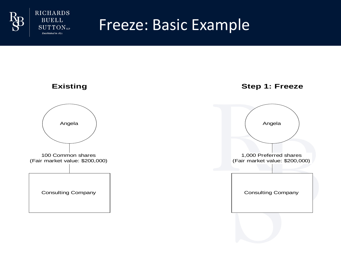



## Freeze: Basic Example

#### **Existing**



#### **Step 1: Freeze**

![](_page_13_Figure_6.jpeg)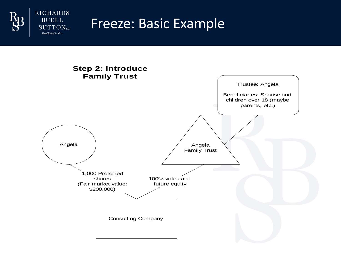![](_page_14_Picture_0.jpeg)

**RICHARDS BUELL SUTTON**LLP Established in 1871

### Freeze: Basic Example

![](_page_14_Figure_2.jpeg)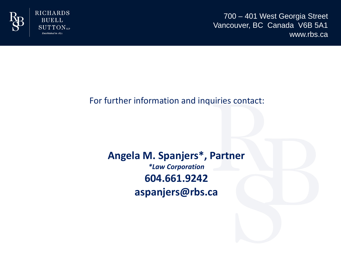![](_page_15_Picture_0.jpeg)

**RICHARDS BUELL**  $SUTTON$ <sub>LLP</sub> Established in 1871

700 – 401 West Georgia Street Vancouver, BC Canada V6B 5A1 www.rbs.ca

#### For further information and inquiries contact:

#### **Angela M. Spanjers\*, Partner** *\*Law Corporation* **604.661.9242 aspanjers@rbs.ca**